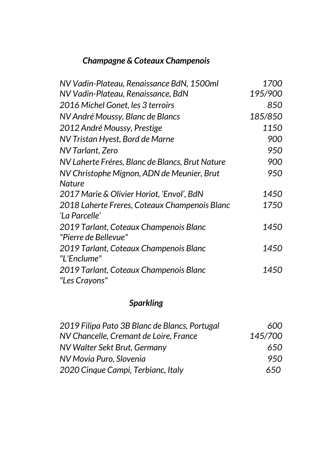## *Champagne & Coteaux Champenois*

| NV Vadin-Plateau, Renaissance BdN, 1500ml       | 1700    |
|-------------------------------------------------|---------|
| NV Vadin-Plateau, Renaissance, BdN              | 195/900 |
| 2016 Michel Gonet, les 3 terroirs               | 850     |
| NV André Moussy, Blanc de Blancs                | 185/850 |
| 2012 André Moussy, Prestige                     | 1150    |
| NV Tristan Hyest, Bord de Marne                 | 900     |
| NV Tarlant, Zero                                | 950     |
| NV Laherte Fréres, Blanc de Blancs, Brut Nature | 900     |
| NV Christophe Mignon, ADN de Meunier, Brut      | 950     |
| <b>Nature</b>                                   |         |
| 2017 Marie & Olivier Horiot, 'Envol', BdN       | 1450    |
| 2018 Laherte Freres, Coteaux Champenois Blanc   | 1750    |
| 'La Parcelle'                                   |         |
| 2019 Tarlant, Coteaux Champenois Blanc          | 1450    |
| "Pierre de Bellevue"                            |         |
| 2019 Tarlant, Coteaux Champenois Blanc          | 1450    |
| "L'Enclume"                                     |         |
| 2019 Tarlant, Coteaux Champenois Blanc          | 1450    |
| "Les Crayons"                                   |         |

## *Sparkling*

| 2019 Filipa Pato 3B Blanc de Blancs, Portugal | 600     |
|-----------------------------------------------|---------|
| NV Chancelle, Cremant de Loire, France        | 145/700 |
| NV Walter Sekt Brut, Germany                  | 650     |
| NV Movia Puro, Slovenia                       | 950     |
| 2020 Cinque Campi, Terbianc, Italy            | 650-    |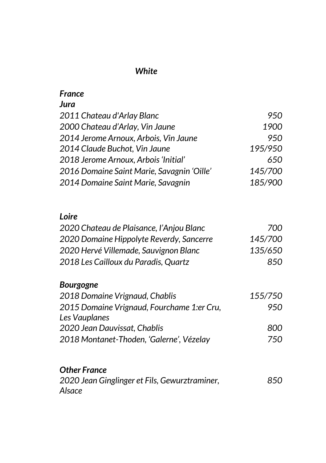#### *White*

## *France*

### *Jura*

| 950     |
|---------|
| 1900    |
| 950     |
| 195/950 |
| 650     |
| 145/700 |
| 185/900 |
|         |

### *Loire*

| 2020 Chateau de Plaisance, l'Anjou Blanc | 700.    |
|------------------------------------------|---------|
| 2020 Domaine Hippolyte Reverdy, Sancerre | 145/700 |
| 2020 Hervé Villemade, Sauvignon Blanc    | 135/650 |
| 2018 Les Cailloux du Paradis, Quartz     | 850.    |

#### *Bourgogne*

| 2018 Domaine Vrignaud, Chablis             | 155/750 |
|--------------------------------------------|---------|
| 2015 Domaine Vrignaud, Fourchame 1:er Cru, | 950.    |
| Les Vauplanes                              |         |
| 2020 Jean Dauvissat, Chablis               | 800.    |
| 2018 Montanet-Thoden, 'Galerne', Vézelay   | 750     |

## *Other France*

| 2020 Jean Ginglinger et Fils, Gewurztraminer, | 850 |
|-----------------------------------------------|-----|
| Alsace                                        |     |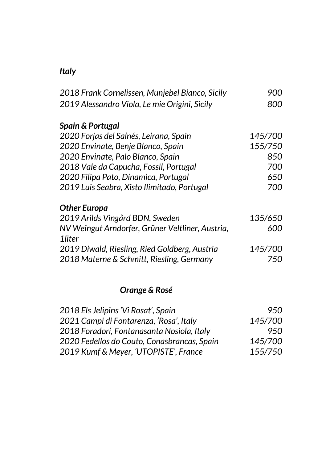## *Italy*

| 2018 Frank Cornelissen, Munjebel Bianco, Sicily  | 900     |
|--------------------------------------------------|---------|
| 2019 Alessandro Viola, Le mie Origini, Sicily    | 800     |
| <b>Spain &amp; Portugal</b>                      |         |
| 2020 Forjas del Salnés, Leirana, Spain           | 145/700 |
| 2020 Envinate, Benje Blanco, Spain               | 155/750 |
| 2020 Envinate, Palo Blanco, Spain                | 850     |
| 2018 Vale da Capucha, Fossil, Portugal           | 700     |
| 2020 Filipa Pato, Dinamica, Portugal             | 650     |
| 2019 Luis Seabra, Xisto Ilimitado, Portugal      | 700     |
| <b>Other Europa</b>                              |         |
| 2019 Arilds Vingård BDN, Sweden                  | 135/650 |
| NV Weingut Arndorfer, Grüner Veltliner, Austria, | 600     |
| 1liter                                           |         |
| 2019 Diwald, Riesling, Ried Goldberg, Austria    | 145/700 |
| 2018 Materne & Schmitt, Riesling, Germany        | 750     |
|                                                  |         |
| Orange & Rosé                                    |         |
| 2018 Els Jelipins 'Vi Rosat', Spain              | 950     |
| 2021 Campi di Fontarenza, 'Rosa', Italy          | 145/700 |
| 2018 Foradori, Fontanasanta Nosiola, Italy       | 950     |

| 2020 Fedellos do Couto, Conasbrancas, Spain | 145/700 |
|---------------------------------------------|---------|
| 2019 Kumf & Meyer, 'UTOPISTE', France       | 155/750 |
|                                             |         |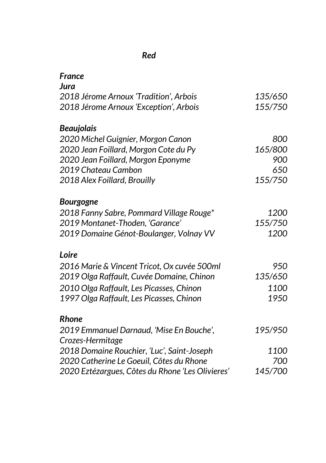## *Red*

| France                                           |         |
|--------------------------------------------------|---------|
| Jura                                             |         |
| 2018 Jérome Arnoux 'Tradition', Arbois           | 135/650 |
| 2018 Jérome Arnoux 'Exception', Arbois           | 155/750 |
| <b>Beaujolais</b>                                |         |
| 2020 Michel Guignier, Morgon Canon               | 800     |
| 2020 Jean Foillard, Morgon Cote du Py            | 165/800 |
| 2020 Jean Foillard, Morgon Eponyme               | 900     |
| 2019 Chateau Cambon                              | 650     |
| 2018 Alex Foillard, Brouilly                     | 155/750 |
| Bourgogne                                        |         |
| 2018 Fanny Sabre, Pommard Village Rouge*         | 1200    |
| 2019 Montanet-Thoden, 'Garance'                  | 155/750 |
| 2019 Domaine Génot-Boulanger, Volnay VV          | 1200    |
| Loire                                            |         |
| 2016 Marie & Vincent Tricot, Ox cuvée 500ml      | 950     |
| 2019 Olga Raffault, Cuvée Domaine, Chinon        | 135/650 |
| 2010 Olga Raffault, Les Picasses, Chinon         | 1100    |
| 1997 Olga Raffault, Les Picasses, Chinon         | 1950    |
| <b>Rhone</b>                                     |         |
| 2019 Emmanuel Darnaud, 'Mise En Bouche',         | 195/950 |
| Crozes-Hermitage                                 |         |
| 2018 Domaine Rouchier, 'Luc', Saint-Joseph       | 1100    |
| 2020 Catherine Le Goeuil, Côtes du Rhone         | 700     |
| 2020 Eztézargues, Côtes du Rhone 'Les Olivieres' | 145/700 |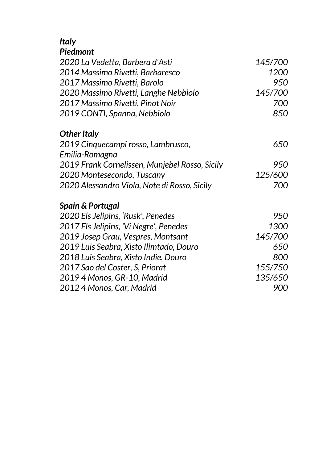# *Italy*

## *Piedmont*

| 2020 La Vedetta, Barbera d'Asti                | 145/700 |
|------------------------------------------------|---------|
| 2014 Massimo Rivetti, Barbaresco               | 1200    |
| 2017 Massimo Rivetti, Barolo                   | 950     |
| 2020 Massimo Rivetti, Langhe Nebbiolo          | 145/700 |
| 2017 Massimo Rivetti, Pinot Noir               | 700     |
| 2019 CONTI, Spanna, Nebbiolo                   | 850     |
| <b>Other Italy</b>                             |         |
| 2019 Cinquecampi rosso, Lambrusco,             | 650     |
| Emilia-Romagna                                 |         |
| 2019 Frank Cornelissen, Munjebel Rosso, Sicily | 950     |
| 2020 Montesecondo, Tuscany                     | 125/600 |
| 2020 Alessandro Viola, Note di Rosso, Sicily   | 700     |
| <b>Spain &amp; Portugal</b>                    |         |
| 2020 Els Jelipins, 'Rusk', Penedes             | 950     |
| 2017 Els Jelipins, 'Vi Negre', Penedes         | 1300    |
| 2019 Josep Grau, Vespres, Montsant             | 145/700 |
| 2019 Luis Seabra, Xisto Ilimtado, Douro        | 650     |
| 2018 Luis Seabra, Xisto Indie, Douro           | 800     |
| 2017 Sao del Coster, S, Priorat                | 155/750 |
| 2019 4 Monos, GR-10, Madrid                    | 135/650 |
| 2012 4 Monos, Car, Madrid                      | 900     |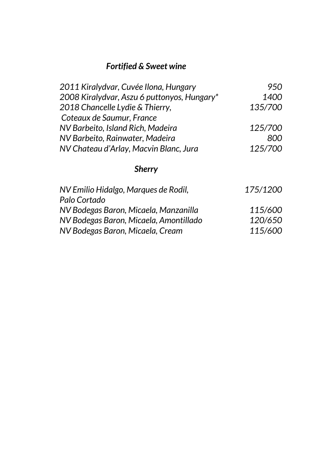## *Fortified & Sweet wine*

| 2011 Kiralydvar, Cuvée Ilona, Hungary                | 950      |
|------------------------------------------------------|----------|
| 2008 Kiralydvar, Aszu 6 puttonyos, Hungary*          | 1400     |
| 2018 Chancelle Lydie & Thierry,                      | 135/700  |
| Coteaux de Saumur, France                            |          |
| NV Barbeito, Island Rich, Madeira                    | 125/700  |
| NV Barbeito, Rainwater, Madeira                      | 800      |
| NV Chateau d'Arlay, Macvin Blanc, Jura               | 125/700  |
| <b>Sherry</b>                                        |          |
| NV Emilio Hidalgo, Marques de Rodil,<br>Palo Cortado | 175/1200 |

| NV Bodegas Baron, Micaela, Manzanilla  | 115/600 |
|----------------------------------------|---------|
| NV Bodegas Baron, Micaela, Amontillado | 120/650 |
| NV Bodegas Baron, Micaela, Cream       | 115/600 |